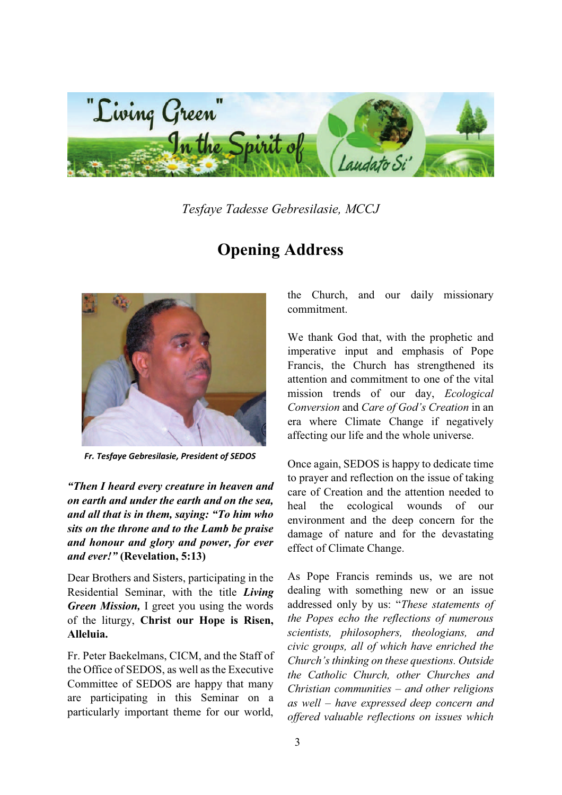

*Tesfaye Tadesse Gebresilasie, MCCJ* 

## **Opening Address**



*Fr. Tesfaye Gebresilasie, President of SEDOS* 

*aThen I heard every creature in heaven and on earth and under the earth and on the sea, and all that is in them, saving: "To him who sits on the throne and to the Lamb be praise and honour and glory and power, for ever and ever!*" (Revelation, 5:13)

Dear Brothers and Sisters, participating in the Residential Seminar, with the title *Living Green Mission,* I greet you using the words of the liturgy, **Christ our Hope is Risen, Alleluia.**

Fr. Peter Baekelmans, CICM, and the Staff of the Office of SEDOS, as well as the Executive Committee of SEDOS are happy that many are participating in this Seminar on a particularly important theme for our world,

the Church, and our daily missionary commitment.

We thank God that, with the prophetic and imperative input and emphasis of Pope Francis, the Church has strengthened its attention and commitment to one of the vital mission trends of our day, *Ecological Conversion* and *Care of God's Creation* in an era where Climate Change if negatively affecting our life and the whole universe.

Once again, SEDOS is happy to dedicate time to prayer and reflection on the issue of taking care of Creation and the attention needed to heal the ecological wounds of our environment and the deep concern for the damage of nature and for the devastating effect of Climate Change.

As Pope Francis reminds us, we are not dealing with something new or an issue addressed only by us: "These statements of *the Popes echo the reflections of numerous scientists, philosophers, theologians, and civic groups, all of which have enriched the Church's thinking on these questions. Outside the Catholic Church, other Churches and Christian communities ± and other religions as well ± have expressed deep concern and offered valuable reflections on issues which*